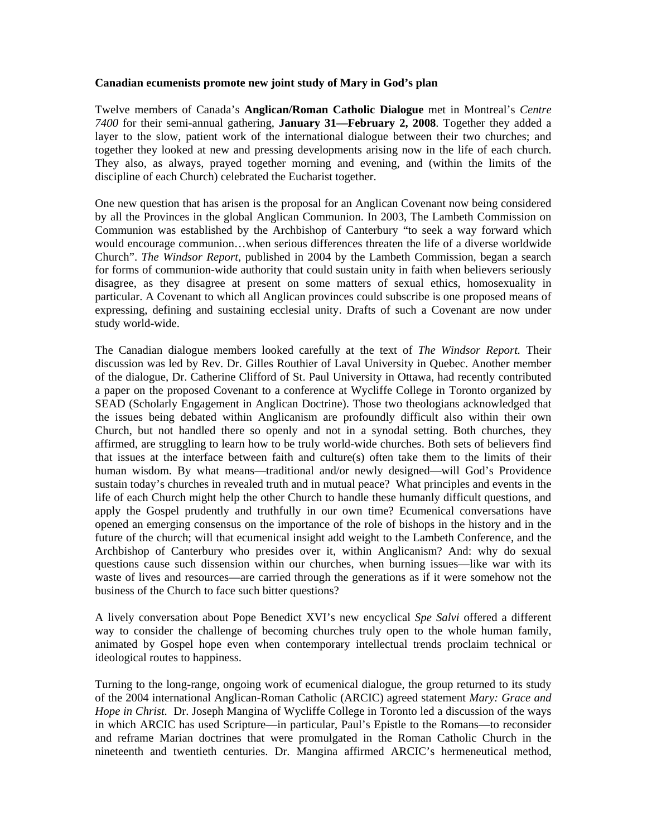## **Canadian ecumenists promote new joint study of Mary in God's plan**

Twelve members of Canada's **Anglican/Roman Catholic Dialogue** met in Montreal's *Centre 7400* for their semi-annual gathering, **January 31—February 2, 2008**. Together they added a layer to the slow, patient work of the international dialogue between their two churches; and together they looked at new and pressing developments arising now in the life of each church. They also, as always, prayed together morning and evening, and (within the limits of the discipline of each Church) celebrated the Eucharist together.

One new question that has arisen is the proposal for an Anglican Covenant now being considered by all the Provinces in the global Anglican Communion. In 2003, The Lambeth Commission on Communion was established by the Archbishop of Canterbury "to seek a way forward which would encourage communion…when serious differences threaten the life of a diverse worldwide Church". *The Windsor Report*, published in 2004 by the Lambeth Commission, began a search for forms of communion-wide authority that could sustain unity in faith when believers seriously disagree, as they disagree at present on some matters of sexual ethics, homosexuality in particular. A Covenant to which all Anglican provinces could subscribe is one proposed means of expressing, defining and sustaining ecclesial unity. Drafts of such a Covenant are now under study world-wide.

The Canadian dialogue members looked carefully at the text of *The Windsor Report.* Their discussion was led by Rev. Dr. Gilles Routhier of Laval University in Quebec. Another member of the dialogue, Dr. Catherine Clifford of St. Paul University in Ottawa, had recently contributed a paper on the proposed Covenant to a conference at Wycliffe College in Toronto organized by SEAD (Scholarly Engagement in Anglican Doctrine). Those two theologians acknowledged that the issues being debated within Anglicanism are profoundly difficult also within their own Church, but not handled there so openly and not in a synodal setting. Both churches, they affirmed, are struggling to learn how to be truly world-wide churches. Both sets of believers find that issues at the interface between faith and culture(s) often take them to the limits of their human wisdom. By what means—traditional and/or newly designed—will God's Providence sustain today's churches in revealed truth and in mutual peace? What principles and events in the life of each Church might help the other Church to handle these humanly difficult questions, and apply the Gospel prudently and truthfully in our own time? Ecumenical conversations have opened an emerging consensus on the importance of the role of bishops in the history and in the future of the church; will that ecumenical insight add weight to the Lambeth Conference, and the Archbishop of Canterbury who presides over it, within Anglicanism? And: why do sexual questions cause such dissension within our churches, when burning issues—like war with its waste of lives and resources—are carried through the generations as if it were somehow not the business of the Church to face such bitter questions?

A lively conversation about Pope Benedict XVI's new encyclical *Spe Salvi* offered a different way to consider the challenge of becoming churches truly open to the whole human family, animated by Gospel hope even when contemporary intellectual trends proclaim technical or ideological routes to happiness.

Turning to the long-range, ongoing work of ecumenical dialogue, the group returned to its study of the 2004 international Anglican-Roman Catholic (ARCIC) agreed statement *Mary: Grace and Hope in Christ.* Dr. Joseph Mangina of Wycliffe College in Toronto led a discussion of the ways in which ARCIC has used Scripture—in particular, Paul's Epistle to the Romans—to reconsider and reframe Marian doctrines that were promulgated in the Roman Catholic Church in the nineteenth and twentieth centuries. Dr. Mangina affirmed ARCIC's hermeneutical method,